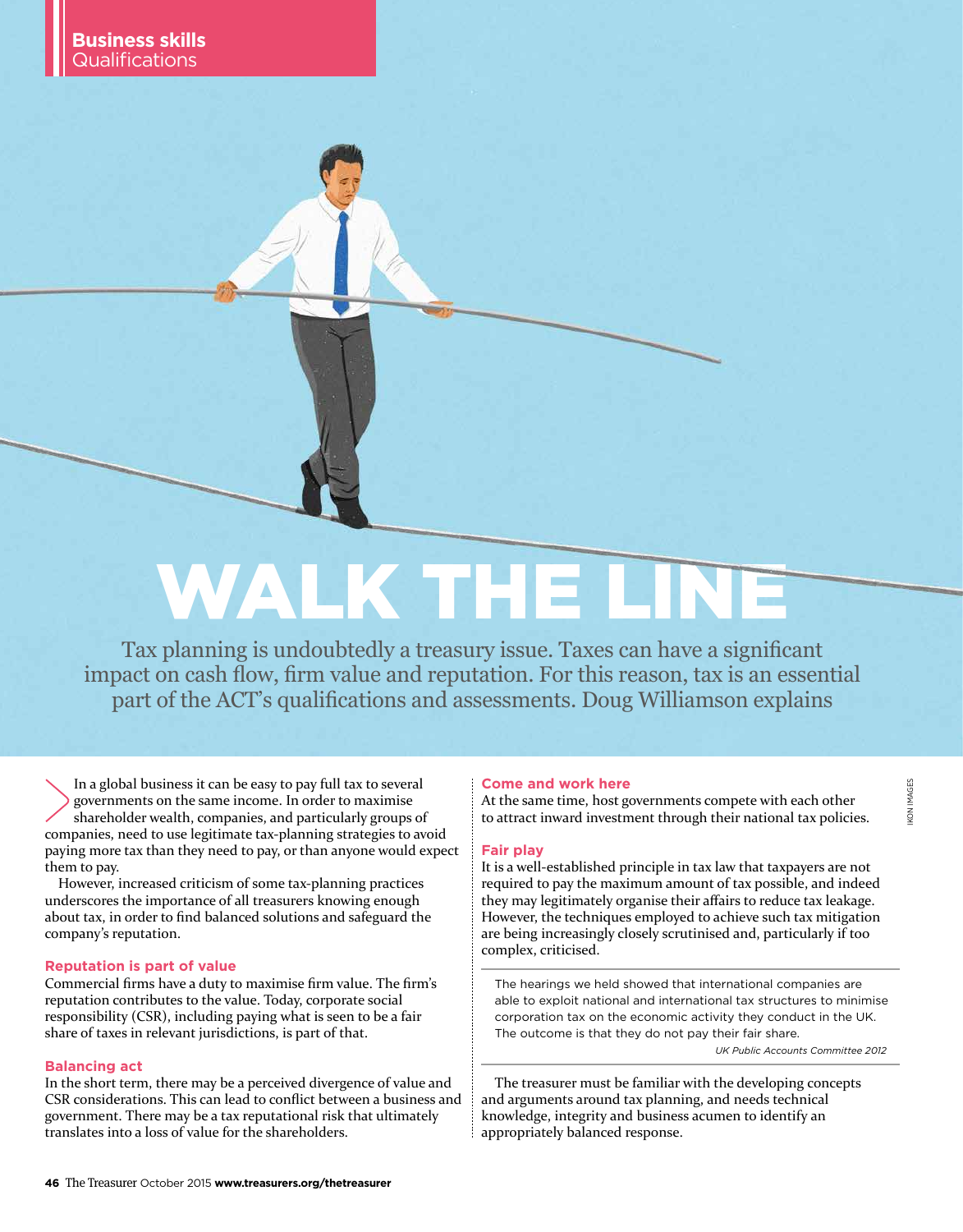# WALK THE I

Tax planning is undoubtedly a treasury issue. Taxes can have a significant impact on cash flow, firm value and reputation. For this reason, tax is an essential part of the ACT's qualifications and assessments. Doug Williamson explains

In a global business it can be easy to pay full tax to several governments on the same income. In order to maximise shareholder wealth, companies, and particularly groups of companies, need to use legitimate tax-planning strategies to avoid paying more tax than they need to pay, or than anyone would expect them to pay.

However, increased criticism of some tax-planning practices underscores the importance of all treasurers knowing enough about tax, in order to find balanced solutions and safeguard the company's reputation.

#### **Reputation is part of value**

Commercial firms have a duty to maximise firm value. The firm's reputation contributes to the value. Today, corporate social responsibility (CSR), including paying what is seen to be a fair share of taxes in relevant jurisdictions, is part of that.

#### **Balancing act**

In the short term, there may be a perceived divergence of value and CSR considerations. This can lead to conflict between a business and government. There may be a tax reputational risk that ultimately translates into a loss of value for the shareholders.

#### **Come and work here**

At the same time, host governments compete with each other to attract inward investment through their national tax policies.

#### **Fair play**

It is a well-established principle in tax law that taxpayers are not required to pay the maximum amount of tax possible, and indeed they may legitimately organise their affairs to reduce tax leakage. However, the techniques employed to achieve such tax mitigation are being increasingly closely scrutinised and, particularly if too complex, criticised.

The hearings we held showed that international companies are able to exploit national and international tax structures to minimise corporation tax on the economic activity they conduct in the UK. The outcome is that they do not pay their fair share.

*UK Public Accounts Committee 2012* 

The treasurer must be familiar with the developing concepts and arguments around tax planning, and needs technical knowledge, integrity and business acumen to identify an appropriately balanced response.